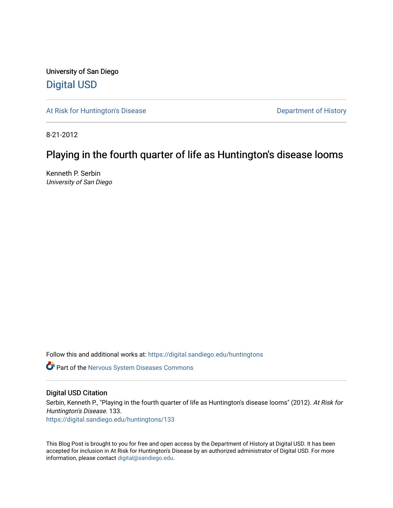University of San Diego [Digital USD](https://digital.sandiego.edu/)

[At Risk for Huntington's Disease](https://digital.sandiego.edu/huntingtons) **Department of History** Department of History

8-21-2012

## Playing in the fourth quarter of life as Huntington's disease looms

Kenneth P. Serbin University of San Diego

Follow this and additional works at: [https://digital.sandiego.edu/huntingtons](https://digital.sandiego.edu/huntingtons?utm_source=digital.sandiego.edu%2Fhuntingtons%2F133&utm_medium=PDF&utm_campaign=PDFCoverPages)

**Part of the [Nervous System Diseases Commons](http://network.bepress.com/hgg/discipline/928?utm_source=digital.sandiego.edu%2Fhuntingtons%2F133&utm_medium=PDF&utm_campaign=PDFCoverPages)** 

#### Digital USD Citation

Serbin, Kenneth P., "Playing in the fourth quarter of life as Huntington's disease looms" (2012). At Risk for Huntington's Disease. 133.

[https://digital.sandiego.edu/huntingtons/133](https://digital.sandiego.edu/huntingtons/133?utm_source=digital.sandiego.edu%2Fhuntingtons%2F133&utm_medium=PDF&utm_campaign=PDFCoverPages)

This Blog Post is brought to you for free and open access by the Department of History at Digital USD. It has been accepted for inclusion in At Risk for Huntington's Disease by an authorized administrator of Digital USD. For more information, please contact [digital@sandiego.edu.](mailto:digital@sandiego.edu)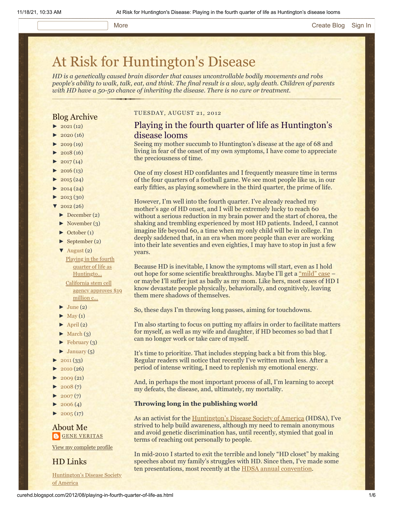#### More [Create Blog](https://www.blogger.com/home#create) [Sign In](https://www.blogger.com/)

# [At Risk for Huntington's Disease](http://curehd.blogspot.com/)

*HD is a genetically caused brain disorder that causes uncontrollable bodily movements and robs people's ability to walk, talk, eat, and think. The final result is a slow, ugly death. Children of parents with HD have a 50-50 chance of inheriting the disease. There is no cure or treatment.*

#### Blog Archive

- $\blacktriangleright$  [2021](http://curehd.blogspot.com/2021/)(12)
- $2020(16)$  $2020(16)$
- $2019(19)$  $2019(19)$
- $\blacktriangleright$  [2018](http://curehd.blogspot.com/2018/) (16)
- $2017(14)$  $2017(14)$
- $2016(13)$  $2016(13)$  $\blacktriangleright$  [2015](http://curehd.blogspot.com/2015/) (24)
- 
- $\blacktriangleright$  [2014](http://curehd.blogspot.com/2014/) (24)
- $\blacktriangleright$  [2013](http://curehd.blogspot.com/2013/) (30)
- $'$  [2012](http://curehd.blogspot.com/2012/) (26)
	- [►](javascript:void(0)) [December](http://curehd.blogspot.com/2012/12/) (2)
	- $\blacktriangleright$  [November](http://curehd.blogspot.com/2012/11/) (3)
	- [►](javascript:void(0)) [October](http://curehd.blogspot.com/2012/10/) (1)
	- $\blacktriangleright$  [September](http://curehd.blogspot.com/2012/09/) (2)

[▼](javascript:void(0)) [August](http://curehd.blogspot.com/2012/08/) (2) Playing in the fourth quarter of life as [Huntingto...](http://curehd.blogspot.com/2012/08/playing-in-fourth-quarter-of-life-as.html)

> [California](http://curehd.blogspot.com/2012/08/california-stem-cell-agency-approves-19.html) stem cell agency approves \$19 million c...

- $\blacktriangleright$  [June](http://curehd.blogspot.com/2012/06/) (2)
- $\blacktriangleright$  [May](http://curehd.blogspot.com/2012/05/) (1)
- $\blacktriangleright$  [April](http://curehd.blogspot.com/2012/04/) (2)
- $\blacktriangleright$  [March](http://curehd.blogspot.com/2012/03/) (3)
- $\blacktriangleright$  [February](http://curehd.blogspot.com/2012/02/) (3)
- $\blacktriangleright$  [January](http://curehd.blogspot.com/2012/01/)  $(5)$
- [►](javascript:void(0)) [2011](http://curehd.blogspot.com/2011/) (33)
- $2010(26)$  $2010(26)$
- $2009(21)$  $2009(21)$
- $2008(7)$  $2008(7)$
- $2007(7)$  $2007(7)$
- $2006(4)$  $2006(4)$
- $\blacktriangleright$  [2005](http://curehd.blogspot.com/2005/) (17)

#### About Me **GENE [VERITAS](https://www.blogger.com/profile/10911736205741688185)**

View my [complete](https://www.blogger.com/profile/10911736205741688185) profile

HD Links

[Huntington's](http://www.hdsa.org/) Disease Society of America

#### TUESDAY, AUGUST 21, 2012

#### Playing in the fourth quarter of life as Huntington's disease looms

Seeing my mother succumb to Huntington's disease at the age of 68 and living in fear of the onset of my own symptoms, I have come to appreciate the preciousness of time.

One of my closest HD confidantes and I frequently measure time in terms of the four quarters of a football game. We see most people like us, in our early fifties, as playing somewhere in the third quarter, the prime of life.

However, I'm well into the fourth quarter. I've already reached my mother's age of HD onset, and I will be extremely lucky to reach 60 without a serious reduction in my brain power and the start of chorea, the shaking and trembling experienced by most HD patients. Indeed, I cannot imagine life beyond 60, a time when my only child will be in college. I'm deeply saddened that, in an era when more people than ever are working into their late seventies and even eighties, I may have to stop in just a few years.

Because HD is inevitable, I know the symptoms will start, even as I hold out hope for some scientific breakthroughs. Maybe I'll get a ["mild" case](http://curehd.blogspot.com/2011/09/waiting-for-symptoms-how-long-can-i.html) – or maybe I'll suffer just as badly as my mom. Like hers, most cases of HD I know devastate people physically, behaviorally, and cognitively, leaving them mere shadows of themselves.

So, these days I'm throwing long passes, aiming for touchdowns.

I'm also starting to focus on putting my affairs in order to facilitate matters for myself, as well as my wife and daughter, if HD becomes so bad that I can no longer work or take care of myself.

It's time to prioritize. That includes stepping back a bit from this blog. Regular readers will notice that recently I've written much less. After a period of intense writing, I need to replenish my emotional energy.

And, in perhaps the most important process of all, I'm learning to accept my defeats, the disease, and, ultimately, my mortality.

#### **Throwing long in the publishing world**

As an activist for the [Huntington's Disease Society of America](http://www.hdsa.org/) (HDSA), I've strived to help build awareness, although my need to remain anonymous and avoid genetic discrimination has, until recently, stymied that goal in terms of reaching out personally to people.

In mid-2010 I started to exit the terrible and lonely "HD closet" by making speeches about my family's struggles with HD. Since then, I've made some ten presentations, most recently at the [HDSA annual convention.](http://curehd.blogspot.com/2012/06/wholehearted-embrace-my-first-hdsa.html)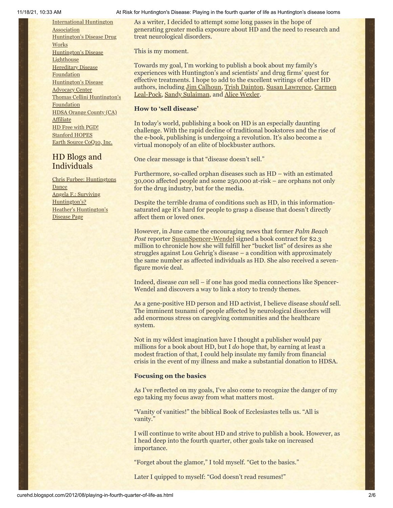[International](http://www.huntington-assoc.com/) Huntington **Association** [Huntington's](http://hddrugworks.org/) Disease Drug **Works** [Huntington's](http://www.hdlighthouse.org/) Disease **Lighthouse [Hereditary](http://www.hdfoundation.org/) Disease Foundation** [Huntington's](http://www.hdac.org/) Disease Advocacy Center Thomas [Cellini Huntington's](http://www.ourtchfoundation.org/) Foundation HDSA Orange County (CA) **[Affiliate](http://www.hdsaoc.org/)** HD Free with [PGD!](http://www.hdfreewithpgd.com/) [Stanford](http://www.stanford.edu/group/hopes/) HOPES Earth Source [CoQ10,](http://www.escoq10.com/) Inc.

### HD Blogs and Individuals

Chris Furbee: [Huntingtons](http://www.huntingtonsdance.org/) Dance Angela F.: Surviving [Huntington's?](http://survivinghuntingtons.blogspot.com/) Heather's [Huntington's](http://heatherdugdale.angelfire.com/) Disease Page

#### 11/18/21, 10:33 AM At Risk for Huntington's Disease: Playing in the fourth quarter of life as Huntington's disease looms

As a writer, I decided to attempt some long passes in the hope of generating greater media exposure about HD and the need to research and treat neurological disorders.

This is my moment.

Towards my goal, I'm working to publish a book about my family's experiences with Huntington's and scientists' and drug firms' quest for effective treatments. I hope to add to the excellent writings of other HD [authors, including J](http://www.amazon.com/Faces-Huntingtons-Carmen-Leal-Pock/dp/1894169107/ref=sr_1_1?s=books&ie=UTF8&qid=1345588217&sr=1-1&keywords=carmen+leal-pock)[im Calhou](http://www.hdsa.org/how-you-can-help/shop-hdsa-affiliates/index.html)[n,](http://www.amazon.com/Faces-Huntingtons-Carmen-Leal-Pock/dp/1894169107/ref=sr_1_1?s=books&ie=UTF8&qid=1345588217&sr=1-1&keywords=carmen+leal-pock) [Trish Dainton](http://www.amazon.com/Curse-Verse-Much-More-Worse/dp/1908105097/ref=sr_1_1?s=books&ie=UTF8&qid=1345587964&sr=1-1&keywords=trish+dainton)[,](http://www.amazon.com/Faces-Huntingtons-Carmen-Leal-Pock/dp/1894169107/ref=sr_1_1?s=books&ie=UTF8&qid=1345588217&sr=1-1&keywords=carmen+leal-pock) [Susan Lawrenc](http://www.amazon.com/gp/product/1462677142/ref=kinw_rke_rti_1)[e, Carmen](http://www.amazon.com/Faces-Huntingtons-Carmen-Leal-Pock/dp/1894169107/ref=sr_1_1?s=books&ie=UTF8&qid=1345588217&sr=1-1&keywords=carmen+leal-pock) Leal-Pock, [Sandy Sulaiman,](http://www.amazon.com/Learning-Live-Huntingtons-Disease-Familys/dp/1843104873/ref=sr_1_1?s=books&ie=UTF8&qid=1345588028&sr=1-1&keywords=sulaiman+sandy) and [Alice Wexler.](http://www.amazon.com/Woman-Who-Walked-into-Sea/dp/0300158610/ref=sr_1_1?s=books&ie=UTF8&qid=1345588276&sr=1-1&keywords=the+woman+who+walked+into+the+sea)

#### **How to 'sell disease'**

In today's world, publishing a book on HD is an especially daunting challenge. With the rapid decline of traditional bookstores and the rise of the e-book, publishing is undergoing a revolution. It's also become a virtual monopoly of an elite of blockbuster authors.

One clear message is that "disease doesn't sell."

Furthermore, so-called orphan diseases such as HD – with an estimated 30,000 affected people and some 250,000 at-risk – are orphans not only for the drug industry, but for the media.

Despite the terrible drama of conditions such as HD, in this informationsaturated age it's hard for people to grasp a disease that doesn't directly affect them or loved ones.

However, in June came the encouraging news that former *Palm Beach* **Post reporter [SusanSpencer-Wendel](http://www.dailymail.co.uk/news/article-2160789/Woman-suffering-incurable-disease-signs-lucrative-film-deal.html) signed a book contract for \$2.3** million to chronicle how she will fulfill her "bucket list" of desires as she struggles against Lou Gehrig's disease – a condition with approximately the same number as affected individuals as HD. She also received a sevenfigure movie deal.

Indeed, disease *can* sell – if one has good media connections like Spencer-Wendel and discovers a way to link a story to trendy themes.

As a gene-positive HD person and HD activist, I believe disease *should* sell. The imminent tsunami of people affected by neurological disorders will add enormous stress on caregiving communities and the healthcare system.

Not in my wildest imagination have I thought a publisher would pay millions for a book about HD, but I *do* hope that, by earning at least a modest fraction of that, I could help insulate my family from financial crisis in the event of my illness and make a substantial donation to HDSA.

#### **Focusing on the basics**

As I've reflected on my goals, I've also come to recognize the danger of my ego taking my focus away from what matters most.

"Vanity of vanities!" the biblical Book of Ecclesiastes tells us. "All is vanity."

I will continue to write about HD and strive to publish a book. However, as I head deep into the fourth quarter, other goals take on increased importance.

"Forget about the glamor," I told myself. "Get to the basics."

Later I quipped to myself: "God doesn't read resumes!"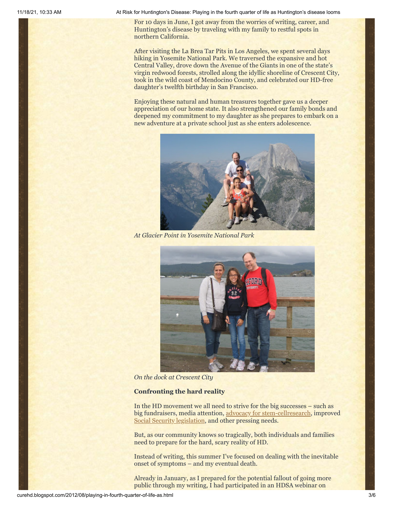11/18/21, 10:33 AM At Risk for Huntington's Disease: Playing in the fourth quarter of life as Huntington's disease looms

For 10 days in June, I got away from the worries of writing, career, and Huntington's disease by traveling with my family to restful spots in northern California.

After visiting the La Brea Tar Pits in Los Angeles, we spent several days hiking in Yosemite National Park. We traversed the expansive and hot Central Valley, drove down the Avenue of the Giants in one of the state's virgin redwood forests, strolled along the idyllic shoreline of Crescent City, took in the wild coast of Mendocino County, and celebrated our HD-free daughter's twelfth birthday in San Francisco.

Enjoying these natural and human treasures together gave us a deeper appreciation of our home state. It also strengthened our family bonds and deepened my commitment to my daughter as she prepares to embark on a new adventure at a private school just as she enters adolescence.



*At Glacier Point in Yosemite National Park*



*On the dock at Crescent City*

#### **Confronting the hard reality**

In the HD movement we all need to strive for the big successes – such as big fundraisers, media attention, [advocacy for stem-cellresearch](http://curehd.blogspot.com/2012/08/california-stem-cell-agency-approves-19.html), improved [Social Security legislation](http://curehd.blogspot.com/2012/05/compassionate-allowance-and-faster.html), and other pressing needs.

But, as our community knows so tragically, both individuals and families need to prepare for the hard, scary reality of HD.

Instead of writing, this summer I've focused on dealing with the inevitable onset of symptoms – and my eventual death.

Already in January, as I prepared for the potential fallout of going more public through my writing, I had participated in an HDSA webinar on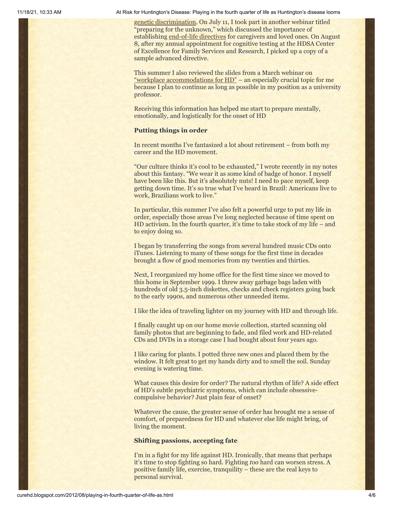11/18/21, 10:33 AM At Risk for Huntington's Disease: Playing in the fourth quarter of life as Huntington's disease looms

[genetic discrimination.](http://www.hdsa.org/living-with-huntingtons/family-care/lunch-learn-webinars/llgina.html) On July 11, I took part in another webinar titled "preparing for the unknown," which discussed the importance of establishing [end-of-life directives](http://www.hdsa.org/living-with-huntingtons/family-care/lunch-learn-webinars/preparing-for-the-unknown.html) for caregivers and loved ones. On August 8, after my annual appointment for cognitive testing at the HDSA Center of Excellence for Family Services and Research, I picked up a copy of a sample advanced directive.

This summer I also reviewed the slides from a March webinar on ["workplace accommodations for HD"](http://www.hdsa.org/living-with-huntingtons/family-care/lunch-learn-webinars/workplace-accommodations-for-hd.html) – an especially crucial topic for me because I plan to continue as long as possible in my position as a university professor.

Receiving this information has helped me start to prepare mentally, emotionally, and logistically for the onset of HD

#### **Putting things in order**

In recent months I've fantasized a lot about retirement – from both my career and the HD movement.

"Our culture thinks it's cool to be exhausted," I wrote recently in my notes about this fantasy. "We wear it as some kind of badge of honor. I myself have been like this. But it's absolutely nuts! I need to pace myself, keep getting down time. It's so true what I've heard in Brazil: Americans live to work, Brazilians work to live."

In particular, this summer I've also felt a powerful urge to put my life in order, especially those areas I've long neglected because of time spent on HD activism. In the fourth quarter, it's time to take stock of my life – and to enjoy doing so.

I began by transferring the songs from several hundred music CDs onto iTunes. Listening to many of these songs for the first time in decades brought a flow of good memories from my twenties and thirties.

Next, I reorganized my home office for the first time since we moved to this home in September 1999. I threw away garbage bags laden with hundreds of old 3.5-inch diskettes, checks and check registers going back to the early 1990s, and numerous other unneeded items.

I like the idea of traveling lighter on my journey with HD and through life.

I finally caught up on our home movie collection, started scanning old family photos that are beginning to fade, and filed work and HD-related CDs and DVDs in a storage case I had bought about four years ago.

I like caring for plants. I potted three new ones and placed them by the window. It felt great to get my hands dirty and to smell the soil. Sunday evening is watering time.

What causes this desire for order? The natural rhythm of life? A side effect of HD's subtle psychiatric symptoms, which can include obsessivecompulsive behavior? Just plain fear of onset?

Whatever the cause, the greater sense of order has brought me a sense of comfort, of preparedness for HD and whatever else life might bring, of living the moment.

#### **Shifting passions, accepting fate**

I'm in a fight for my life against HD. Ironically, that means that perhaps it's time to stop fighting so hard. Fighting *too* hard can worsen stress. A positive family life, exercise, tranquility – these are the real keys to personal survival.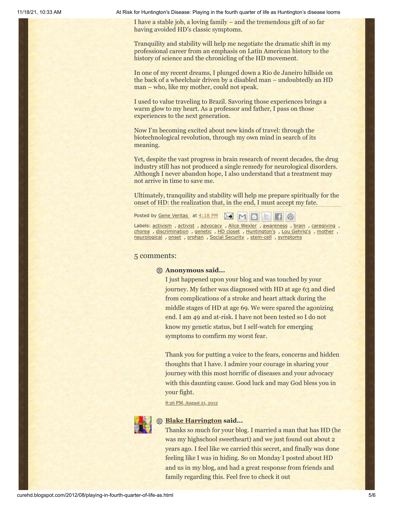11/18/21, 10:33 AM At Risk for Huntington's Disease: Playing in the fourth quarter of life as Huntington's disease looms

I have a stable job, a loving family – and the tremendous gift of so far having avoided HD's classic symptoms.

Tranquility and stability will help me negotiate the dramatic shift in my professional career from an emphasis on Latin American history to the history of science and the chronicling of the HD movement.

In one of my recent dreams, I plunged down a Rio de Janeiro hillside on the back of a wheelchair driven by a disabled man – undoubtedly an HD man – who, like my mother, could not speak.

I used to value traveling to Brazil. Savoring those experiences brings a warm glow to my heart. As a professor and father, I pass on those experiences to the next generation.

Now I'm becoming excited about new kinds of travel: through the biotechnological revolution, through my own mind in search of its meaning.

Yet, despite the vast progress in brain research of recent decades, the drug industry still has not produced a single remedy for neurological disorders. Although I never abandon hope, I also understand that a treatment may not arrive in time to save me.

Ultimately, tranquility and stability will help me prepare spiritually for the onset of HD: the realization that, in the end, I must accept my fate.

Posted by Gene [Veritas](https://www.blogger.com/profile/03599828959793084715) at [4:18](http://curehd.blogspot.com/2012/08/playing-in-fourth-quarter-of-life-as.html) PM  $\Box$   $\odot$ 

Labels: [activism](http://curehd.blogspot.com/search/label/activism) , [activist](http://curehd.blogspot.com/search/label/activist) , [advocacy](http://curehd.blogspot.com/search/label/advocacy) , Alice [Wexler](http://curehd.blogspot.com/search/label/Alice%20Wexler) , [awareness](http://curehd.blogspot.com/search/label/awareness) , [brain](http://curehd.blogspot.com/search/label/brain) , [caregiving](http://curehd.blogspot.com/search/label/caregiving) , [chorea](http://curehd.blogspot.com/search/label/chorea) , [discrimination](http://curehd.blogspot.com/search/label/discrimination) , [genetic](http://curehd.blogspot.com/search/label/genetic) , HD [closet](http://curehd.blogspot.com/search/label/HD%20closet) , [Huntington's](http://curehd.blogspot.com/search/label/Huntington%27s) , Lou [Gehrig's](http://curehd.blogspot.com/search/label/Lou%20Gehrig%27s) , [mother](http://curehd.blogspot.com/search/label/mother) , [neurological](http://curehd.blogspot.com/search/label/neurological) , [onset](http://curehd.blogspot.com/search/label/onset) , [orphan](http://curehd.blogspot.com/search/label/orphan) , Social [Security](http://curehd.blogspot.com/search/label/Social%20Security) , [stem-cell](http://curehd.blogspot.com/search/label/stem-cell) , [symptoms](http://curehd.blogspot.com/search/label/symptoms)

#### 5 comments:

#### **Anonymous said...**

I just happened upon your blog and was touched by your journey. My father was diagnosed with HD at age 63 and died from complications of a stroke and heart attack during the middle stages of HD at age 69. We were spared the agonizing end. I am 49 and at-risk. I have not been tested so I do not know my genetic status, but I self-watch for emerging symptoms to comfirm my worst fear.

Thank you for putting a voice to the fears, concerns and hidden thoughts that I have. I admire your courage in sharing your journey with this most horrific of diseases and your advocacy with this daunting cause. Good luck and may God bless you in your fight.

8:26 PM, [August](http://curehd.blogspot.com/2012/08/playing-in-fourth-quarter-of-life-as.html?showComment=1345606017483#c329731877089183744) 21, 2012



#### **[Blake Harrington](https://www.blogger.com/profile/17755409794546809139) said...**

Thanks so much for your blog. I married a man that has HD (he was my highschool sweetheart) and we just found out about 2 years ago. I feel like we carried this secret, and finally was done feeling like I was in hiding. So on Monday I posted about HD and us in my blog, and had a great response from friends and family regarding this. Feel free to check it out